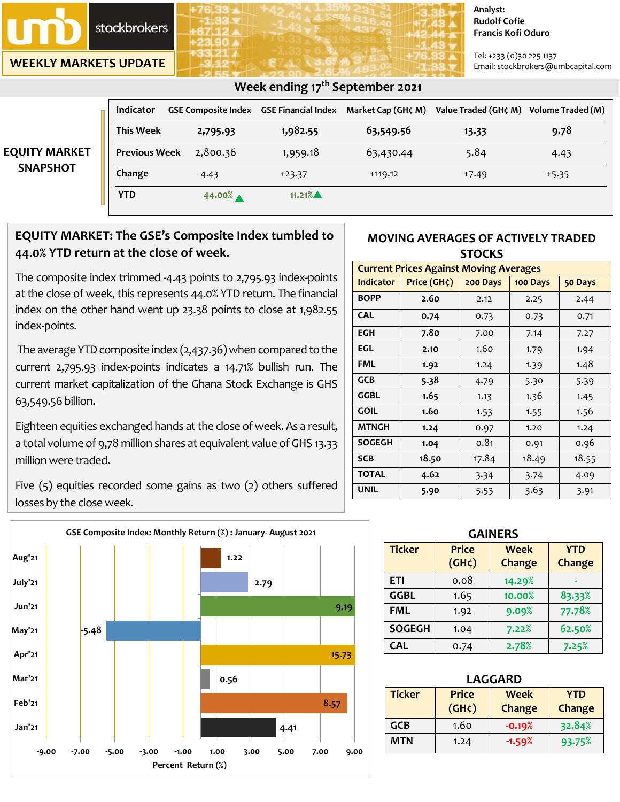

**WEEKLY MARKETS UPDATE**

#### **Analyst: Rudolf Cofie Francis Kofi Oduro**

Tel: +233 (0)30 225 1137 Email: stockbrokers@umbcapital.com

|                                         |                      |                                                | ີ         |                    |                      |                   |
|-----------------------------------------|----------------------|------------------------------------------------|-----------|--------------------|----------------------|-------------------|
|                                         | <b>Indicator</b>     | <b>GSE Composite Index GSE Financial Index</b> |           | Market Cap (GH¢ M) | Value Traded (GH¢ M) | Volume Traded (M) |
| <b>EQUITY MARKET</b><br><b>SNAPSHOT</b> | <b>This Week</b>     | 2,795.93                                       | 1,982.55  | 63,549.56          | 13.33                | 9.78              |
|                                         | <b>Previous Week</b> | 2,800.36                                       | 1,959.18  | 63,430.44          | 5.84                 | 4.43              |
|                                         | Change               | $-4.43$                                        | $+23.37$  | $+119.12$          | $+7.49$              | $+5.35$           |
|                                         | <b>YTD</b>           | 44.00%                                         | $11.21\%$ |                    |                      |                   |

## **Week ending 17th September 2021**

# **EQUITY MARKET: The GSE's Composite Index tumbled to 44.0% YTD return at the close of week.**

The composite index trimmed -4.43 points to 2,795.93 index-points at the close of week, this represents 44.0% YTD return. The financial index on the other hand went up 23.38 points to close at 1,982.55 index-points.

The average YTD composite index (2,437.36) when compared to the current 2,795.93 index-points indicates a 14.71% bullish run. The current market capitalization of the Ghana Stock Exchange is GHS 63,549.56 billion.

Eighteen equities exchanged hands at the close of week. As a result, a total volume of 9,78 million shares at equivalent value of GHS 13.33 millionwere traded.

Five (5) equities recorded some gains as two (2) others suffered losses by the close week.



### **MOVING AVERAGES OF ACTIVELY TRADED STOCKS**

| <b>Current Prices Against Moving Averages</b> |                                                      |       |       |       |  |  |
|-----------------------------------------------|------------------------------------------------------|-------|-------|-------|--|--|
| <b>Indicator</b>                              | Price $(GH\zeta)$<br>200 Days<br>100 Days<br>50 Days |       |       |       |  |  |
| <b>BOPP</b>                                   | 2.60                                                 | 2.12  | 2.25  | 2.44  |  |  |
| <b>CAL</b>                                    | 0.74                                                 | 0.73  | 0.73  | 0.71  |  |  |
| <b>EGH</b>                                    | 7.80                                                 | 7.00  | 7.14  | 7.27  |  |  |
| EGL                                           | 2.10                                                 | 1.60  | 1.79  | 1.94  |  |  |
| <b>FML</b>                                    | 1.92                                                 | 1.24  | 1.39  | 1.48  |  |  |
| <b>GCB</b>                                    | 5.38                                                 | 4.79  | 5.30  | 5.39  |  |  |
| <b>GGBL</b>                                   | 1.65                                                 | 1.13  | 1.36  | 1.45  |  |  |
| <b>GOIL</b>                                   | 1.60                                                 | 1.53  | 1.55  | 1.56  |  |  |
| <b>MTNGH</b>                                  | 1.24                                                 | 0.97  | 1.20  | 1.24  |  |  |
| <b>SOGEGH</b>                                 | 1.04                                                 | 0.81  | 0.91  | 0.96  |  |  |
| <b>SCB</b>                                    | 18.50                                                | 17.84 | 18.49 | 18.55 |  |  |
| <b>TOTAL</b>                                  | 4.62                                                 | 3.34  | 3.74  | 4.09  |  |  |
| UNIL                                          | 5.90                                                 | 5.53  | 3.63  | 3.91  |  |  |

| <b>GAINERS</b> |                             |                       |                      |  |  |
|----------------|-----------------------------|-----------------------|----------------------|--|--|
| <b>Ticker</b>  | <b>Price</b><br>$(GH\zeta)$ | <b>Week</b><br>Change | <b>YTD</b><br>Change |  |  |
| ETI            | 0.08                        | 14.29%                |                      |  |  |
| <b>GGBL</b>    | 1.65                        | 10.00%                | 83.33%               |  |  |
| <b>FML</b>     | 1.92                        | 9.09%                 | 77.78%               |  |  |
| <b>SOGEGH</b>  | 1.04                        | 7.22%                 | 62.50%               |  |  |
| <b>CAL</b>     | 0.74                        | 2.78%                 | 7.25%                |  |  |

| <b>LAGGARD</b> |                    |            |               |  |  |
|----------------|--------------------|------------|---------------|--|--|
| <b>Ticker</b>  | <b>Price</b>       | <b>YTD</b> |               |  |  |
|                | (GH <sub>c</sub> ) | Change     | <b>Change</b> |  |  |
| GCB            | 1.60               | $-0.19%$   | 32.84%        |  |  |
| MTN            | 1.24               | $-1.59%$   | 93.75%        |  |  |